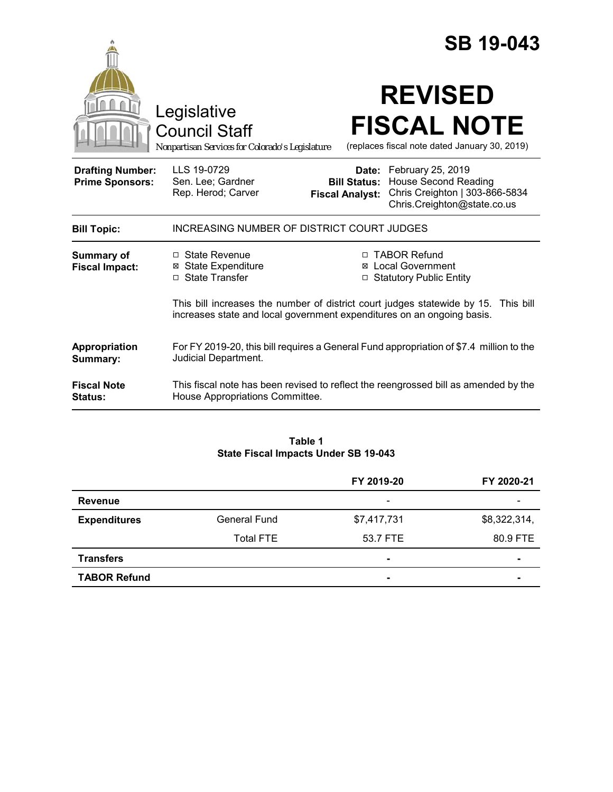|                                                   |                                                                                        |                                               | <b>SB 19-043</b>                                                                                                        |
|---------------------------------------------------|----------------------------------------------------------------------------------------|-----------------------------------------------|-------------------------------------------------------------------------------------------------------------------------|
|                                                   | Legislative<br><b>Council Staff</b><br>Nonpartisan Services for Colorado's Legislature |                                               | <b>REVISED</b><br><b>FISCAL NOTE</b><br>(replaces fiscal note dated January 30, 2019)                                   |
| <b>Drafting Number:</b><br><b>Prime Sponsors:</b> | LLS 19-0729<br>Sen. Lee; Gardner<br>Rep. Herod; Carver                                 | <b>Bill Status:</b><br><b>Fiscal Analyst:</b> | Date: February 25, 2019<br><b>House Second Reading</b><br>Chris Creighton   303-866-5834<br>Chris.Creighton@state.co.us |
| <b>Bill Topic:</b>                                | <b>INCREASING NUMBER OF DISTRICT COURT JUDGES</b>                                      |                                               |                                                                                                                         |
| <b>Summary of</b><br><b>Fiscal Impact:</b>        | $\Box$ State Revenue<br><b>⊠</b> State Expenditure<br>□ State Transfer                 | $\Box$                                        | □ TABOR Refund<br><b>⊠</b> Local Government<br><b>Statutory Public Entity</b>                                           |
|                                                   | increases state and local government expenditures on an ongoing basis.                 |                                               | This bill increases the number of district court judges statewide by 15. This bill                                      |
| Appropriation<br>Summary:                         | Judicial Department.                                                                   |                                               | For FY 2019-20, this bill requires a General Fund appropriation of \$7.4 million to the                                 |
| <b>Fiscal Note</b><br><b>Status:</b>              | House Appropriations Committee.                                                        |                                               | This fiscal note has been revised to reflect the reengrossed bill as amended by the                                     |

### **Table 1 State Fiscal Impacts Under SB 19-043**

|                     |                     | FY 2019-20               | FY 2020-21               |
|---------------------|---------------------|--------------------------|--------------------------|
| <b>Revenue</b>      |                     | $\overline{\phantom{a}}$ | $\overline{\phantom{0}}$ |
| <b>Expenditures</b> | <b>General Fund</b> | \$7,417,731              | \$8,322,314,             |
|                     | <b>Total FTE</b>    | 53.7 FTE                 | 80.9 FTE                 |
| <b>Transfers</b>    |                     | $\overline{\phantom{a}}$ | ۰                        |
| <b>TABOR Refund</b> |                     | $\blacksquare$           | -                        |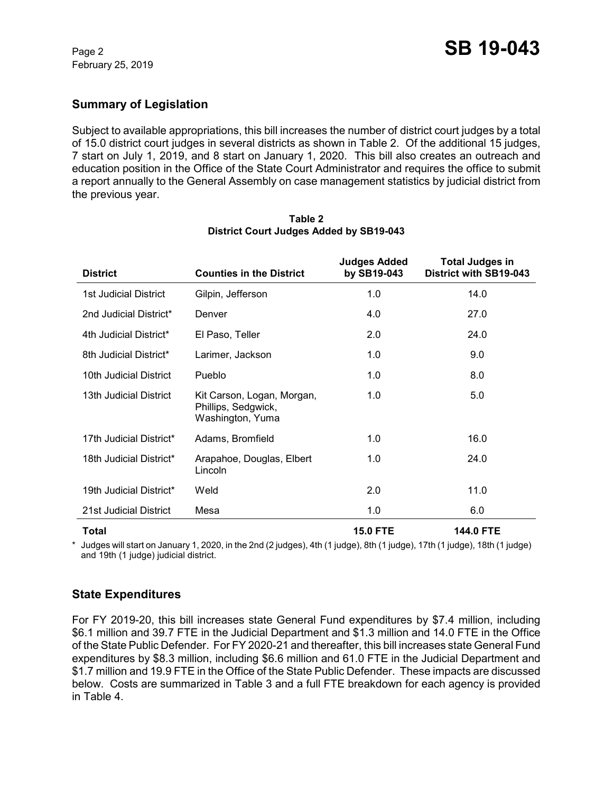## **Summary of Legislation**

Subject to available appropriations, this bill increases the number of district court judges by a total of 15.0 district court judges in several districts as shown in Table 2. Of the additional 15 judges, 7 start on July 1, 2019, and 8 start on January 1, 2020. This bill also creates an outreach and education position in the Office of the State Court Administrator and requires the office to submit a report annually to the General Assembly on case management statistics by judicial district from the previous year.

| <b>District</b>         | <b>Counties in the District</b>                                       | <b>Judges Added</b><br>by SB19-043 | <b>Total Judges in</b><br>District with SB19-043 |
|-------------------------|-----------------------------------------------------------------------|------------------------------------|--------------------------------------------------|
| 1st Judicial District   | Gilpin, Jefferson                                                     | 1.0                                | 14.0                                             |
| 2nd Judicial District*  | Denver                                                                | 4.0                                | 27.0                                             |
| 4th Judicial District*  | El Paso, Teller                                                       | 2.0                                | 24.0                                             |
| 8th Judicial District*  | Larimer, Jackson                                                      | 1.0                                | 9.0                                              |
| 10th Judicial District  | Pueblo                                                                | 1.0                                | 8.0                                              |
| 13th Judicial District  | Kit Carson, Logan, Morgan,<br>Phillips, Sedgwick,<br>Washington, Yuma | 1.0                                | 5.0                                              |
| 17th Judicial District* | Adams, Bromfield                                                      | 1.0                                | 16.0                                             |
| 18th Judicial District* | Arapahoe, Douglas, Elbert<br>Lincoln                                  | 1.0                                | 24.0                                             |
| 19th Judicial District* | Weld                                                                  | 2.0                                | 11.0                                             |
| 21st Judicial District  | Mesa                                                                  | 1.0                                | 6.0                                              |
|                         |                                                                       |                                    |                                                  |

### **Table 2 District Court Judges Added by SB19-043**

**Total 15.0 FTE 144.0 FTE**

\* Judges will start on January 1, 2020, in the 2nd (2 judges), 4th (1 judge), 8th (1 judge), 17th (1 judge), 18th (1 judge) and 19th (1 judge) judicial district.

# **State Expenditures**

For FY 2019-20, this bill increases state General Fund expenditures by \$7.4 million, including \$6.1 million and 39.7 FTE in the Judicial Department and \$1.3 million and 14.0 FTE in the Office of the State Public Defender. For FY 2020-21 and thereafter, this bill increases state General Fund expenditures by \$8.3 million, including \$6.6 million and 61.0 FTE in the Judicial Department and \$1.7 million and 19.9 FTE in the Office of the State Public Defender. These impacts are discussed below. Costs are summarized in Table 3 and a full FTE breakdown for each agency is provided in Table 4.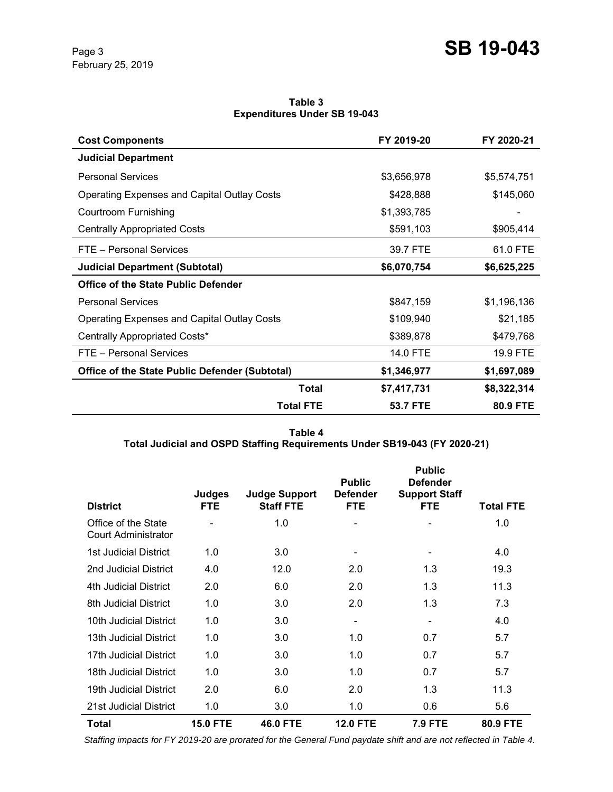#### **Table 3 Expenditures Under SB 19-043**

| <b>Cost Components</b>                                | FY 2019-20  | FY 2020-21  |
|-------------------------------------------------------|-------------|-------------|
| <b>Judicial Department</b>                            |             |             |
| <b>Personal Services</b>                              | \$3,656,978 | \$5,574,751 |
| Operating Expenses and Capital Outlay Costs           | \$428,888   | \$145,060   |
| Courtroom Furnishing                                  | \$1,393,785 |             |
| <b>Centrally Appropriated Costs</b>                   | \$591,103   | \$905,414   |
| FTE - Personal Services                               | 39.7 FTE    | 61.0 FTE    |
| <b>Judicial Department (Subtotal)</b>                 | \$6,070,754 | \$6,625,225 |
| <b>Office of the State Public Defender</b>            |             |             |
| <b>Personal Services</b>                              | \$847,159   | \$1,196,136 |
| <b>Operating Expenses and Capital Outlay Costs</b>    | \$109,940   | \$21,185    |
| Centrally Appropriated Costs*                         | \$389,878   | \$479,768   |
| FTE - Personal Services                               | 14.0 FTE    | 19.9 FTE    |
| <b>Office of the State Public Defender (Subtotal)</b> | \$1,346,977 | \$1,697,089 |
| Total                                                 | \$7,417,731 | \$8,322,314 |
| <b>Total FTE</b>                                      | 53.7 FTE    | 80.9 FTE    |

**Table 4 Total Judicial and OSPD Staffing Requirements Under SB19-043 (FY 2020-21)**

| <b>District</b>                                   | <b>Judges</b><br><b>FTE</b> | <b>Judge Support</b><br><b>Staff FTE</b> | <b>Public</b><br><b>Defender</b><br><b>FTE</b> | <b>Public</b><br><b>Defender</b><br><b>Support Staff</b><br><b>FTE</b> | <b>Total FTE</b> |
|---------------------------------------------------|-----------------------------|------------------------------------------|------------------------------------------------|------------------------------------------------------------------------|------------------|
| Office of the State<br><b>Court Administrator</b> |                             | 1.0                                      | ۰                                              |                                                                        | 1.0              |
| <b>1st Judicial District</b>                      | 1.0                         | 3.0                                      | $\overline{\phantom{a}}$                       |                                                                        | 4.0              |
| 2nd Judicial District                             | 4.0                         | 12.0                                     | 2.0                                            | 1.3                                                                    | 19.3             |
| 4th Judicial District                             | 2.0                         | 6.0                                      | 2.0                                            | 1.3                                                                    | 11.3             |
| 8th Judicial District                             | 1.0                         | 3.0                                      | 2.0                                            | 1.3                                                                    | 7.3              |
| 10th Judicial District                            | 1.0                         | 3.0                                      | -                                              |                                                                        | 4.0              |
| 13th Judicial District                            | 1.0                         | 3.0                                      | 1.0                                            | 0.7                                                                    | 5.7              |
| 17th Judicial District                            | 1.0                         | 3.0                                      | 1.0                                            | 0.7                                                                    | 5.7              |
| 18th Judicial District                            | 1.0                         | 3.0                                      | 1.0                                            | 0.7                                                                    | 5.7              |
| 19th Judicial District                            | 2.0                         | 6.0                                      | 2.0                                            | 1.3                                                                    | 11.3             |
| 21st Judicial District                            | 1.0                         | 3.0                                      | 1.0                                            | 0.6                                                                    | 5.6              |
| Total                                             | <b>15.0 FTE</b>             | <b>46.0 FTE</b>                          | <b>12.0 FTE</b>                                | <b>7.9 FTE</b>                                                         | 80.9 FTE         |

 *Staffing impacts for FY 2019-20 are prorated for the General Fund paydate shift and are not reflected in Table 4.*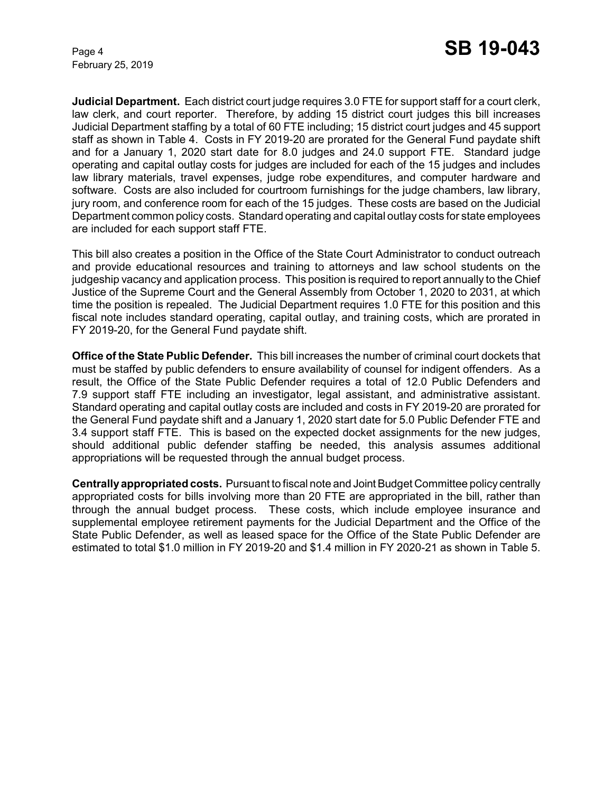February 25, 2019

**Judicial Department.** Each district court judge requires 3.0 FTE for support staff for a court clerk, law clerk, and court reporter. Therefore, by adding 15 district court judges this bill increases Judicial Department staffing by a total of 60 FTE including; 15 district court judges and 45 support staff as shown in Table 4. Costs in FY 2019-20 are prorated for the General Fund paydate shift and for a January 1, 2020 start date for 8.0 judges and 24.0 support FTE. Standard judge operating and capital outlay costs for judges are included for each of the 15 judges and includes law library materials, travel expenses, judge robe expenditures, and computer hardware and software. Costs are also included for courtroom furnishings for the judge chambers, law library, jury room, and conference room for each of the 15 judges. These costs are based on the Judicial Department common policy costs. Standard operating and capital outlay costs for state employees are included for each support staff FTE.

This bill also creates a position in the Office of the State Court Administrator to conduct outreach and provide educational resources and training to attorneys and law school students on the judgeship vacancy and application process. This position is required to report annually to the Chief Justice of the Supreme Court and the General Assembly from October 1, 2020 to 2031, at which time the position is repealed. The Judicial Department requires 1.0 FTE for this position and this fiscal note includes standard operating, capital outlay, and training costs, which are prorated in FY 2019-20, for the General Fund paydate shift.

**Office of the State Public Defender.** This bill increases the number of criminal court dockets that must be staffed by public defenders to ensure availability of counsel for indigent offenders. As a result, the Office of the State Public Defender requires a total of 12.0 Public Defenders and 7.9 support staff FTE including an investigator, legal assistant, and administrative assistant. Standard operating and capital outlay costs are included and costs in FY 2019-20 are prorated for the General Fund paydate shift and a January 1, 2020 start date for 5.0 Public Defender FTE and 3.4 support staff FTE. This is based on the expected docket assignments for the new judges, should additional public defender staffing be needed, this analysis assumes additional appropriations will be requested through the annual budget process.

**Centrally appropriated costs.** Pursuant to fiscal note and Joint Budget Committee policy centrally appropriated costs for bills involving more than 20 FTE are appropriated in the bill, rather than through the annual budget process. These costs, which include employee insurance and supplemental employee retirement payments for the Judicial Department and the Office of the State Public Defender, as well as leased space for the Office of the State Public Defender are estimated to total \$1.0 million in FY 2019-20 and \$1.4 million in FY 2020-21 as shown in Table 5.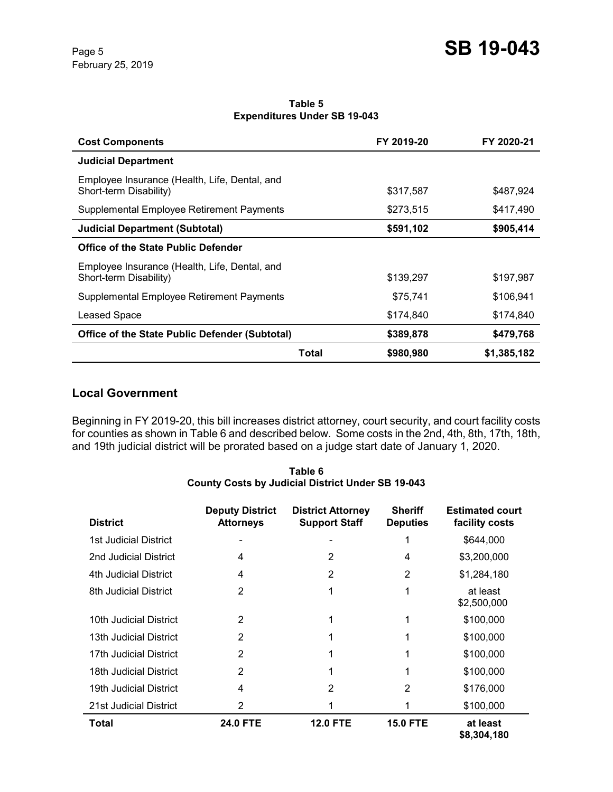#### **Table 5 Expenditures Under SB 19-043**

| <b>Cost Components</b>                                                  |       | FY 2019-20 | FY 2020-21  |
|-------------------------------------------------------------------------|-------|------------|-------------|
| <b>Judicial Department</b>                                              |       |            |             |
| Employee Insurance (Health, Life, Dental, and<br>Short-term Disability) |       | \$317,587  | \$487,924   |
| Supplemental Employee Retirement Payments                               |       | \$273,515  | \$417,490   |
| <b>Judicial Department (Subtotal)</b>                                   |       | \$591,102  | \$905,414   |
| <b>Office of the State Public Defender</b>                              |       |            |             |
| Employee Insurance (Health, Life, Dental, and<br>Short-term Disability) |       | \$139,297  | \$197,987   |
| Supplemental Employee Retirement Payments                               |       | \$75,741   | \$106,941   |
| Leased Space                                                            |       | \$174,840  | \$174,840   |
| <b>Office of the State Public Defender (Subtotal)</b>                   |       | \$389,878  | \$479,768   |
|                                                                         | Total | \$980,980  | \$1,385,182 |

### **Local Government**

Beginning in FY 2019-20, this bill increases district attorney, court security, and court facility costs for counties as shown in Table 6 and described below. Some costs in the 2nd, 4th, 8th, 17th, 18th, and 19th judicial district will be prorated based on a judge start date of January 1, 2020.

| Table 6                                                  |  |
|----------------------------------------------------------|--|
| <b>County Costs by Judicial District Under SB 19-043</b> |  |

| <b>District</b>        | <b>Deputy District</b><br><b>Attorneys</b> | <b>District Attorney</b><br><b>Support Staff</b> | <b>Sheriff</b><br><b>Deputies</b> | <b>Estimated court</b><br>facility costs |
|------------------------|--------------------------------------------|--------------------------------------------------|-----------------------------------|------------------------------------------|
| 1st Judicial District  |                                            |                                                  |                                   | \$644,000                                |
| 2nd Judicial District  | 4                                          | 2                                                | 4                                 | \$3,200,000                              |
| 4th Judicial District  | 4                                          | 2                                                | 2                                 | \$1,284,180                              |
| 8th Judicial District  | 2                                          |                                                  | 1                                 | at least<br>\$2,500,000                  |
| 10th Judicial District | 2                                          |                                                  |                                   | \$100,000                                |
| 13th Judicial District | 2                                          |                                                  |                                   | \$100,000                                |
| 17th Judicial District | 2                                          |                                                  |                                   | \$100,000                                |
| 18th Judicial District | 2                                          |                                                  |                                   | \$100,000                                |
| 19th Judicial District | 4                                          | 2                                                | 2                                 | \$176,000                                |
| 21st Judicial District | 2                                          |                                                  |                                   | \$100,000                                |
| Total                  | <b>24.0 FTE</b>                            | <b>12.0 FTE</b>                                  | <b>15.0 FTE</b>                   | at least<br>\$8,304,180                  |